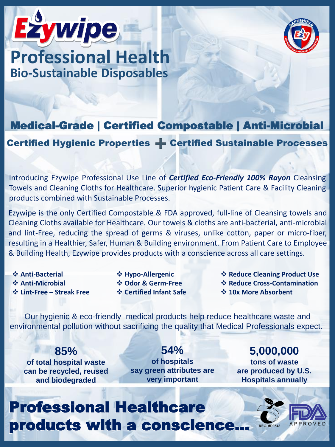



### **Bio-Sustainable Disposables Professional Health**

#### Medical-Grade | Certified Compostable | Anti-Microbial

Certified Hygienic Properties + Certified Sustainable Processes

Introducing Ezywipe Professional Use Line of *Certified Eco-Friendly 100% Rayon* Cleansing Towels and Cleaning Cloths for Healthcare. Superior hygienic Patient Care & Facility Cleaning products combined with Sustainable Processes.

Ezywipe is the only Certified Compostable & FDA approved, full-line of Cleansing towels and Cleaning Cloths available for Healthcare. Our towels & cloths are anti-bacterial, anti-microbial and lint-Free, reducing the spread of germs & viruses, unlike cotton, paper or micro-fiber, resulting in a Healthier, Safer, Human & Building environment. From Patient Care to Employee & Building Health, Ezywipe provides products with a conscience across all care settings.

- ❖ **Anti-Bacterial**
- ❖ **Anti-Microbial**
- ❖ **Lint-Free – Streak Free**
- ❖ **Hypo-Allergenic** ❖ **Odor & Germ-Free**
- ❖ **Certified Infant Safe**
- ❖ **Reduce Cleaning Product Use**
- ❖ **Reduce Cross-Contamination**
- ❖ **10x More Absorbent**

Our hygienic & eco-friendly medical products help reduce healthcare waste and environmental pollution without sacrificing the quality that Medical Professionals expect.

**85% of total hospital waste can be recycled, reused and biodegraded**

**54% of hospitals say green attributes are very important**

**5,000,000 tons of waste are produced by U.S. Hospitals annually**

## Professional Healthcare products with a conscience…